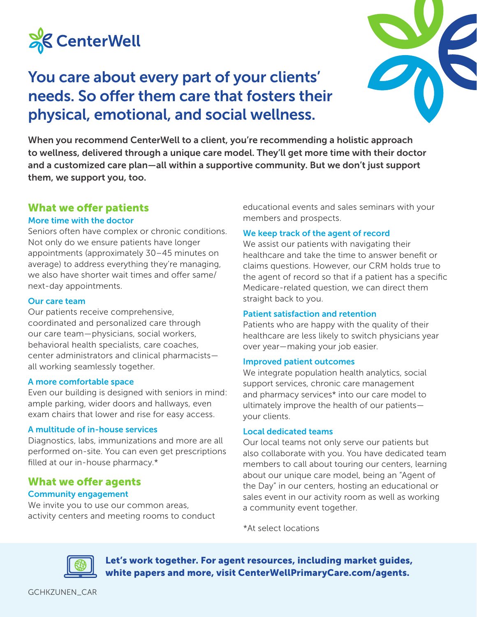

## You care about every part of your clients' needs. So offer them care that fosters their physical, emotional, and social wellness.



When you recommend CenterWell to a client, you're recommending a holistic approach to wellness, delivered through a unique care model. They'll get more time with their doctor and a customized care plan—all within a supportive community. But we don't just support them, we support you, too.

## What we offer patients

#### More time with the doctor

Seniors often have complex or chronic conditions. Not only do we ensure patients have longer appointments (approximately 30–45 minutes on average) to address everything they're managing, we also have shorter wait times and offer same/ next-day appointments.

#### Our care team

Our patients receive comprehensive, coordinated and personalized care through our care team—physicians, social workers, behavioral health specialists, care coaches, center administrators and clinical pharmacists all working seamlessly together.

#### A more comfortable space

Even our building is designed with seniors in mind: ample parking, wider doors and hallways, even exam chairs that lower and rise for easy access.

#### A multitude of in-house services

Diagnostics, labs, immunizations and more are all performed on-site. You can even get prescriptions filled at our in-house pharmacy.\*

## What we offer agents Community engagement

We invite you to use our common areas, activity centers and meeting rooms to conduct educational events and sales seminars with your members and prospects.

#### We keep track of the agent of record

We assist our patients with navigating their healthcare and take the time to answer benefit or claims questions. However, our CRM holds true to the agent of record so that if a patient has a specific Medicare-related question, we can direct them straight back to you.

## Patient satisfaction and retention

Patients who are happy with the quality of their healthcare are less likely to switch physicians year over year—making your job easier.

#### Improved patient outcomes

We integrate population health analytics, social support services, chronic care management and pharmacy services\* into our care model to ultimately improve the health of our patients your clients.

#### Local dedicated teams

Our local teams not only serve our patients but also collaborate with you. You have dedicated team members to call about touring our centers, learning about our unique care model, being an "Agent of the Day" in our centers, hosting an educational or sales event in our activity room as well as working a community event together.

\*At select locations



Let's work together. For agent resources, including market guides, white papers and more, visit CenterWellPrimaryCare.com/agents.